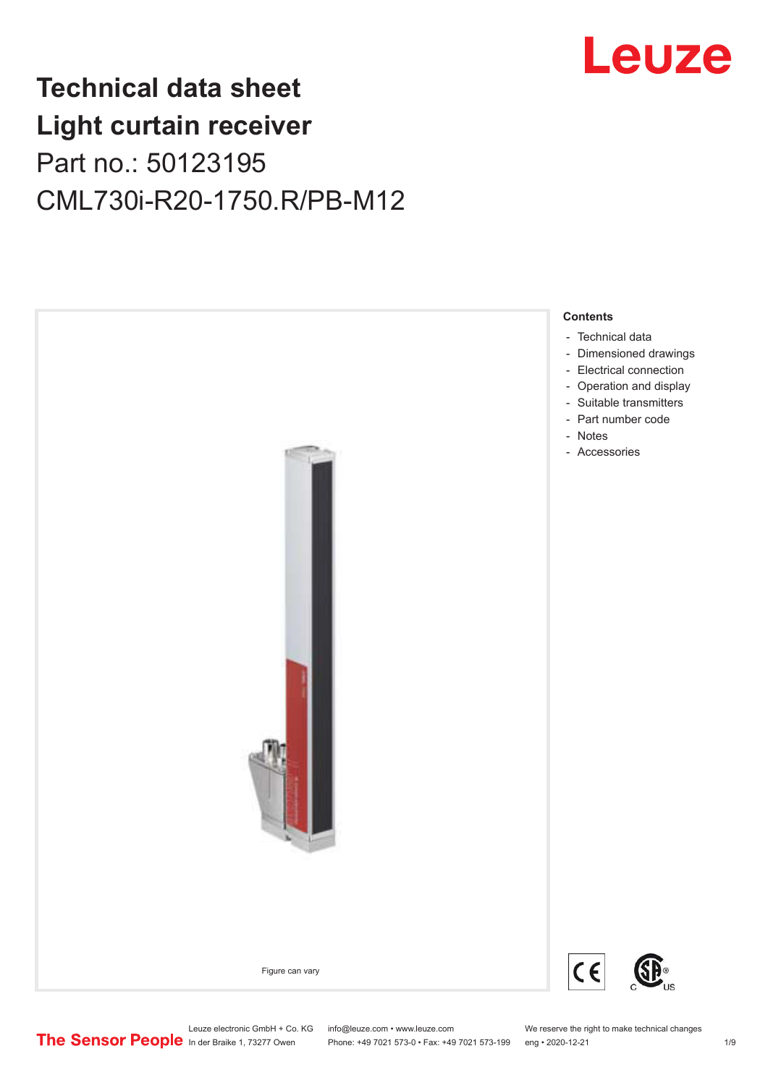

# **Technical data sheet Light curtain receiver** Part no.: 50123195 CML730i-R20-1750.R/PB-M12



Leuze electronic GmbH + Co. KG info@leuze.com • www.leuze.com We reserve the right to make technical changes<br>
The Sensor People in der Braike 1, 73277 Owen Phone: +49 7021 573-0 • Fax: +49 7021 573-199 eng • 2020-12-21

Phone: +49 7021 573-0 • Fax: +49 7021 573-199 eng • 2020-12-21 1 2020-12-21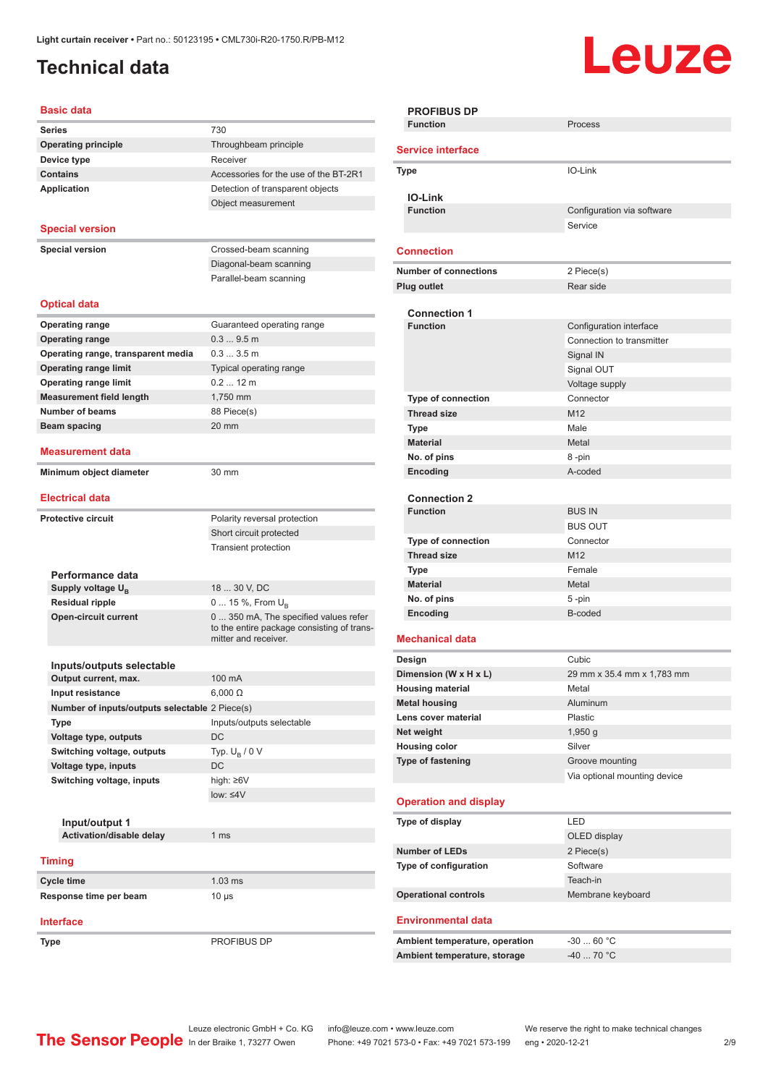## <span id="page-1-0"></span>**Technical data**

# Leuze

| <b>Basic data</b>                                 |                                            |
|---------------------------------------------------|--------------------------------------------|
| <b>Series</b>                                     | 730                                        |
| <b>Operating principle</b>                        | Throughbeam principle                      |
| Device type                                       | Receiver                                   |
| <b>Contains</b>                                   | Accessories for the use of the BT-2R1      |
| <b>Application</b>                                | Detection of transparent objects           |
|                                                   | Object measurement                         |
|                                                   |                                            |
| <b>Special version</b>                            |                                            |
| <b>Special version</b>                            | Crossed-beam scanning                      |
|                                                   | Diagonal-beam scanning                     |
|                                                   | Parallel-beam scanning                     |
|                                                   |                                            |
| <b>Optical data</b>                               |                                            |
| <b>Operating range</b>                            | Guaranteed operating range                 |
| <b>Operating range</b>                            | 0.39.5m                                    |
| Operating range, transparent media                | 0.33.5m                                    |
| <b>Operating range limit</b>                      | Typical operating range                    |
| <b>Operating range limit</b>                      | $0.212$ m                                  |
| <b>Measurement field length</b>                   | 1.750 mm                                   |
| <b>Number of beams</b>                            | 88 Piece(s)                                |
| Beam spacing                                      | $20 \text{ mm}$                            |
|                                                   |                                            |
| Measurement data                                  |                                            |
| Minimum object diameter                           | 30 mm                                      |
| <b>Electrical data</b>                            |                                            |
|                                                   |                                            |
| <b>Protective circuit</b>                         | Polarity reversal protection               |
|                                                   | Short circuit protected                    |
|                                                   | Transient protection                       |
|                                                   |                                            |
| Performance data<br>Supply voltage $U_{\rm B}$    | 18  30 V, DC                               |
| <b>Residual ripple</b>                            | 0  15 %, From U <sub>p</sub>               |
| <b>Open-circuit current</b>                       | 0  350 mA, The specified values refer      |
|                                                   | to the entire package consisting of trans- |
|                                                   | mitter and receiver.                       |
|                                                   |                                            |
| Inputs/outputs selectable                         |                                            |
| Output current, max.                              | 100 mA                                     |
| Input resistance                                  | $6,000 \Omega$                             |
| Number of inputs/outputs selectable 2 Piece(s)    |                                            |
| <b>Type</b>                                       | Inputs/outputs selectable                  |
| Voltage type, outputs                             | DC                                         |
| Switching voltage, outputs                        | Typ. $U_B / 0 V$<br>DC                     |
| Voltage type, inputs<br>Switching voltage, inputs | high: $\geq 6V$                            |
|                                                   | $low: \leq 4V$                             |
|                                                   |                                            |
| Input/output 1                                    |                                            |
| <b>Activation/disable delay</b>                   | 1 <sub>ms</sub>                            |
|                                                   |                                            |
| <b>Timing</b>                                     |                                            |
| Cycle time                                        | $1.03$ ms                                  |
| Response time per beam                            | 10 µs                                      |
|                                                   |                                            |
| <b>Interface</b>                                  |                                            |

**Type** PROFIBUS DP

**PROFIBUS DP Function** Process **Service interface Type** IO-Link **IO-Link Configuration** via software Service **Connection Number of connections** 2 Piece(s) **Plug outlet** Rear side **Connection 1 Configuration** interface Connection to transmitter Signal IN Signal OUT Voltage supply **Type of connection** Connector **Thread size** M12 **Type Male Material** Metal **No. of pins** 8 -pin **Encoding** A-coded **Connection 2 Function** BUS IN BUS OUT **Type of connection** Connector **Thread size** M12 **Type** Female **Material** Metal **No. of pins** 5 -pin **Encoding** B-coded **Mechanical data Design Cubic Dimension (W x H x L)** 29 mm x 35.4 mm x 1,783 mm **Housing material** Metal **Metal housing Aluminum Lens cover material** Plastic **Net weight** 1,950 g **Housing color** Silver **Type of fastening** Groove mounting Via optional mounting device **Operation and display Type of display** LED OLED display **Number of LEDs** 2 Piece(s) **Type of configuration** Software Teach-in **Operational controls** Membrane keyboard **Environmental data** Ambient temperature, operation  $-30...60$  °C Ambient temperature, storage  $-40...70$  °C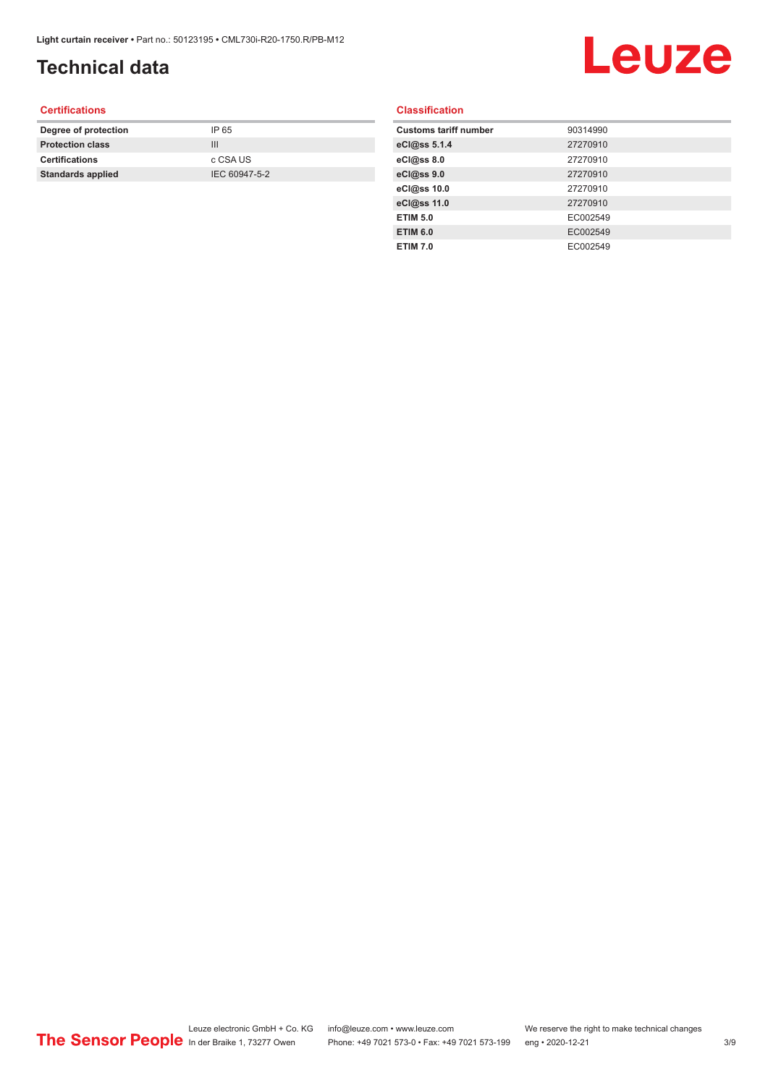## **Technical data**

# Leuze

### **Certifications**

| Degree of protection     | IP 65         |
|--------------------------|---------------|
| <b>Protection class</b>  | Ш             |
| <b>Certifications</b>    | c CSA US      |
| <b>Standards applied</b> | IEC 60947-5-2 |
|                          |               |

### **Classification**

| <b>Customs tariff number</b> | 90314990 |
|------------------------------|----------|
| eCl@ss 5.1.4                 | 27270910 |
| eCl@ss 8.0                   | 27270910 |
| eCl@ss 9.0                   | 27270910 |
| eCl@ss 10.0                  | 27270910 |
| eCl@ss 11.0                  | 27270910 |
| <b>ETIM 5.0</b>              | EC002549 |
| <b>ETIM 6.0</b>              | EC002549 |
| <b>ETIM 7.0</b>              | EC002549 |
|                              |          |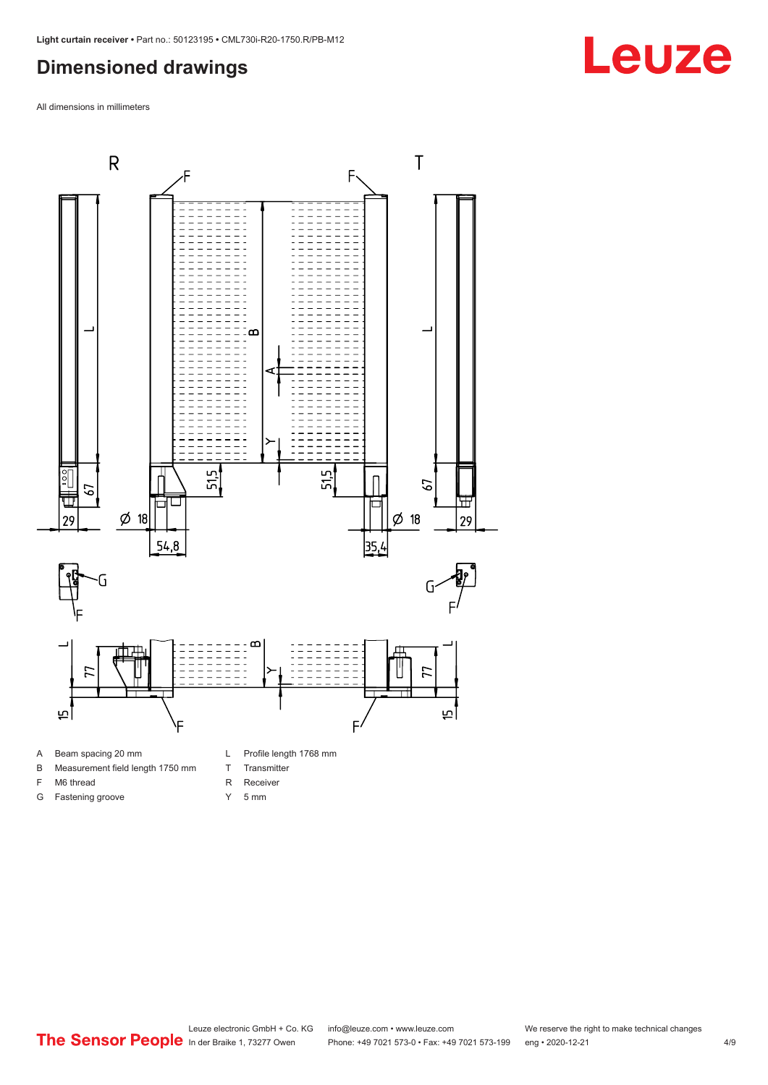### <span id="page-3-0"></span>**Dimensioned drawings**

All dimensions in millimeters



- 
- B Measurement field length 1750 mm
- F M6 thread

G Fastening groove

- R Receiver
	- Y 5 mm

T Transmitter

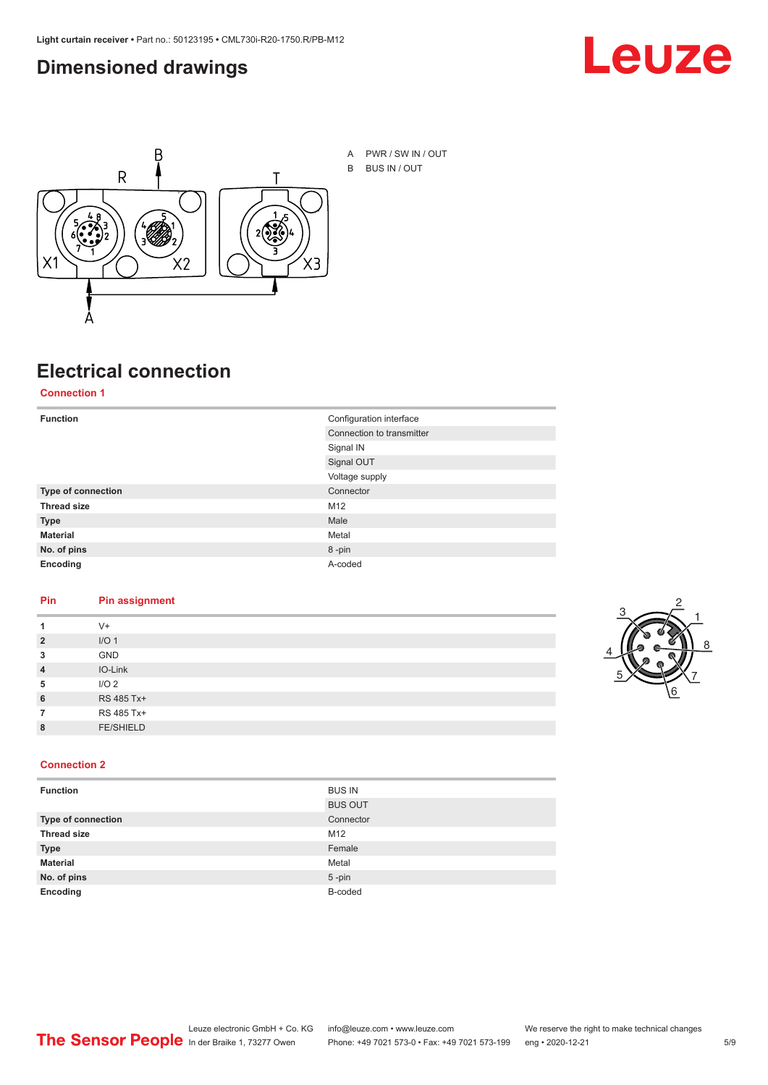### <span id="page-4-0"></span>**Dimensioned drawings**





# **Electrical connection**

**Connection 1**

| <b>Function</b>    | Configuration interface   |
|--------------------|---------------------------|
|                    | Connection to transmitter |
|                    | Signal IN                 |
|                    | Signal OUT                |
|                    | Voltage supply            |
| Type of connection | Connector                 |
| <b>Thread size</b> | M12                       |
| <b>Type</b>        | Male                      |
| <b>Material</b>    | Metal                     |
| No. of pins        | 8-pin                     |
| Encoding           | A-coded                   |

### **Pin Pin assignment**

| 1              | $V +$            |  |  |
|----------------|------------------|--|--|
| $\overline{2}$ | I/O <sub>1</sub> |  |  |
| 3              | <b>GND</b>       |  |  |
| $\overline{4}$ | IO-Link          |  |  |
| 5              | I/O <sub>2</sub> |  |  |
| 6              | RS 485 Tx+       |  |  |
| 7              | RS 485 Tx+       |  |  |
| 8              | <b>FE/SHIELD</b> |  |  |
|                |                  |  |  |



### **Connection 2**

| <b>Function</b>    | <b>BUS IN</b>  |
|--------------------|----------------|
|                    | <b>BUS OUT</b> |
| Type of connection | Connector      |
| <b>Thread size</b> | M12            |
| <b>Type</b>        | Female         |
| <b>Material</b>    | Metal          |
| No. of pins        | $5 - pin$      |
| Encoding           | B-coded        |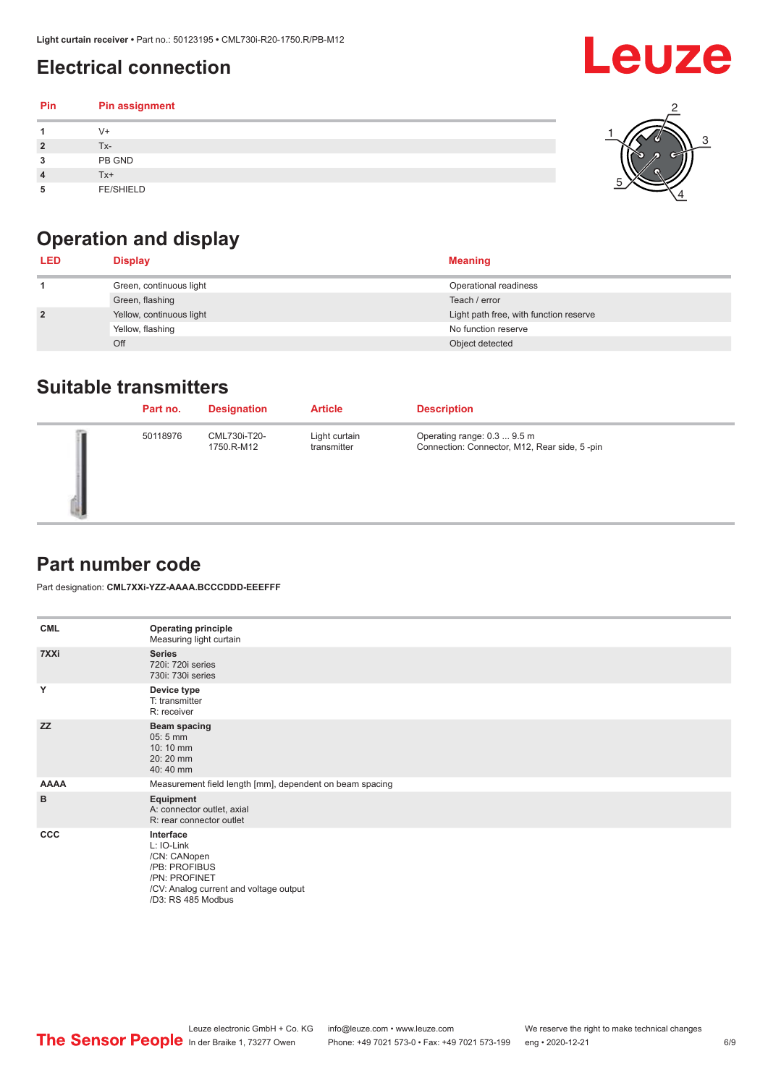## <span id="page-5-0"></span>**Electrical connection**

| Pin | Pin assignment   |  |
|-----|------------------|--|
|     | $V +$            |  |
|     | Tx-              |  |
| 3   | PB GND           |  |
|     | $Tx+$            |  |
| 5   | <b>FE/SHIELD</b> |  |

## **Operation and display**

| <b>LED</b>     | <b>Display</b>           | <b>Meaning</b>                         |
|----------------|--------------------------|----------------------------------------|
|                | Green, continuous light  | Operational readiness                  |
|                | Green, flashing          | Teach / error                          |
| $\overline{2}$ | Yellow, continuous light | Light path free, with function reserve |
|                | Yellow, flashing         | No function reserve                    |
|                | Off                      | Object detected                        |

### **Suitable transmitters**

| Part no. | <b>Designation</b>         | <b>Article</b>               | <b>Description</b>                                                          |
|----------|----------------------------|------------------------------|-----------------------------------------------------------------------------|
| 50118976 | CML730i-T20-<br>1750.R-M12 | Light curtain<br>transmitter | Operating range: 0.3  9.5 m<br>Connection: Connector, M12, Rear side, 5-pin |

### **Part number code**

Part designation: **CML7XXi-YZZ-AAAA.BCCCDDD-EEEFFF**

| <b>CML</b>  | <b>Operating principle</b><br>Measuring light curtain                                                                                     |
|-------------|-------------------------------------------------------------------------------------------------------------------------------------------|
| 7XXi        | <b>Series</b><br>720i: 720i series<br>730i: 730i series                                                                                   |
| Y           | Device type<br>T: transmitter<br>R: receiver                                                                                              |
| <b>ZZ</b>   | <b>Beam spacing</b><br>$05:5$ mm<br>10:10 mm<br>20:20 mm<br>40:40 mm                                                                      |
| <b>AAAA</b> | Measurement field length [mm], dependent on beam spacing                                                                                  |
| B           | Equipment<br>A: connector outlet, axial<br>R: rear connector outlet                                                                       |
| CCC         | Interface<br>L: IO-Link<br>/CN: CANopen<br>/PB: PROFIBUS<br>/PN: PROFINET<br>/CV: Analog current and voltage output<br>/D3: RS 485 Modbus |

**Leuze**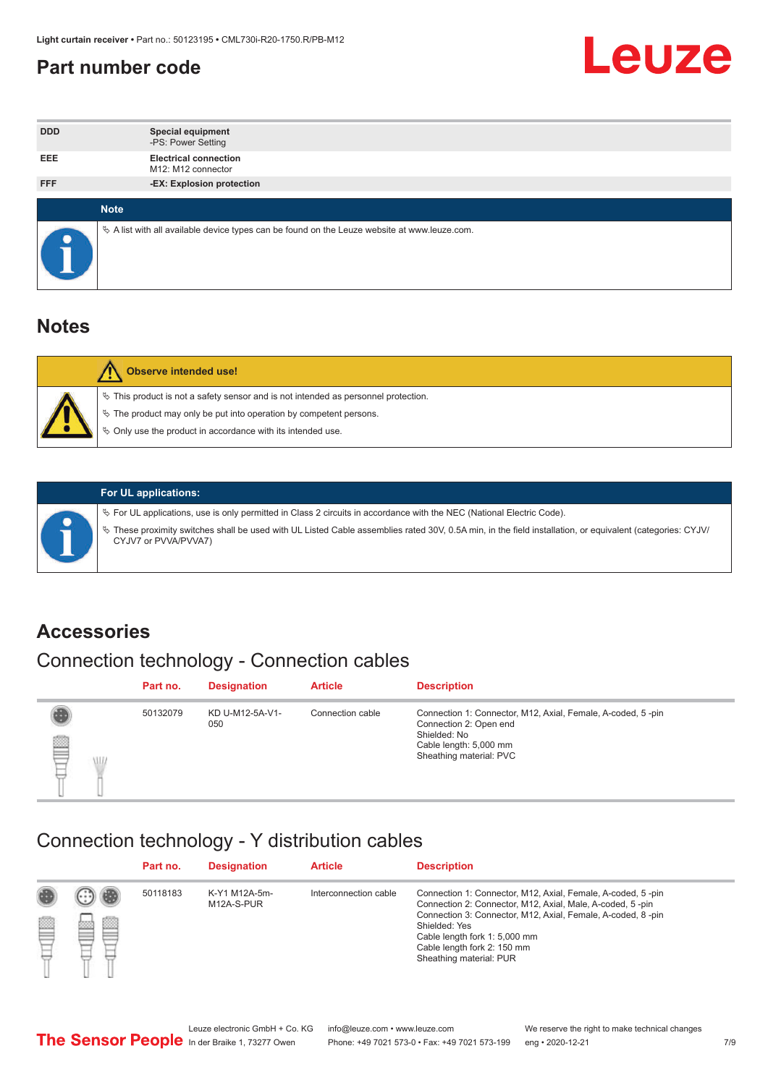### <span id="page-6-0"></span>**Part number code**



| <b>DDD</b>  | <b>Special equipment</b><br>-PS: Power Setting                                                  |
|-------------|-------------------------------------------------------------------------------------------------|
| <b>EEE</b>  | <b>Electrical connection</b><br>M12: M12 connector                                              |
| <b>FFF</b>  | -EX: Explosion protection                                                                       |
|             |                                                                                                 |
| <b>Note</b> |                                                                                                 |
|             | $\&$ A list with all available device types can be found on the Leuze website at www.leuze.com. |

### **Notes**

| <b>Observe intended use!</b>                                                                                                                                                                                                  |
|-------------------------------------------------------------------------------------------------------------------------------------------------------------------------------------------------------------------------------|
| $\%$ This product is not a safety sensor and is not intended as personnel protection.<br>$\%$ The product may only be put into operation by competent persons.<br>♦ Only use the product in accordance with its intended use. |



### **For UL applications:**

ª For UL applications, use is only permitted in Class 2 circuits in accordance with the NEC (National Electric Code). ª These proximity switches shall be used with UL Listed Cable assemblies rated 30V, 0.5A min, in the field installation, or equivalent (categories: CYJV/ CYJV7 or PVVA/PVVA7)

### **Accessories**

## Connection technology - Connection cables

|        | Part no. | <b>Designation</b>     | <b>Article</b>   | <b>Description</b>                                                                                                                                         |
|--------|----------|------------------------|------------------|------------------------------------------------------------------------------------------------------------------------------------------------------------|
| 2<br>W | 50132079 | KD U-M12-5A-V1-<br>050 | Connection cable | Connection 1: Connector, M12, Axial, Female, A-coded, 5-pin<br>Connection 2: Open end<br>Shielded: No<br>Cable length: 5,000 mm<br>Sheathing material: PVC |

### Connection technology - Y distribution cables

|             |   | Part no. | <b>Designation</b>          | <b>Article</b>        | <b>Description</b>                                                                                                                                                                                                                                                                                  |
|-------------|---|----------|-----------------------------|-----------------------|-----------------------------------------------------------------------------------------------------------------------------------------------------------------------------------------------------------------------------------------------------------------------------------------------------|
| 圔<br>⋿<br>٣ | ø | 50118183 | K-Y1 M12A-5m-<br>M12A-S-PUR | Interconnection cable | Connection 1: Connector, M12, Axial, Female, A-coded, 5-pin<br>Connection 2: Connector, M12, Axial, Male, A-coded, 5-pin<br>Connection 3: Connector, M12, Axial, Female, A-coded, 8-pin<br>Shielded: Yes<br>Cable length fork 1: 5,000 mm<br>Cable length fork 2: 150 mm<br>Sheathing material: PUR |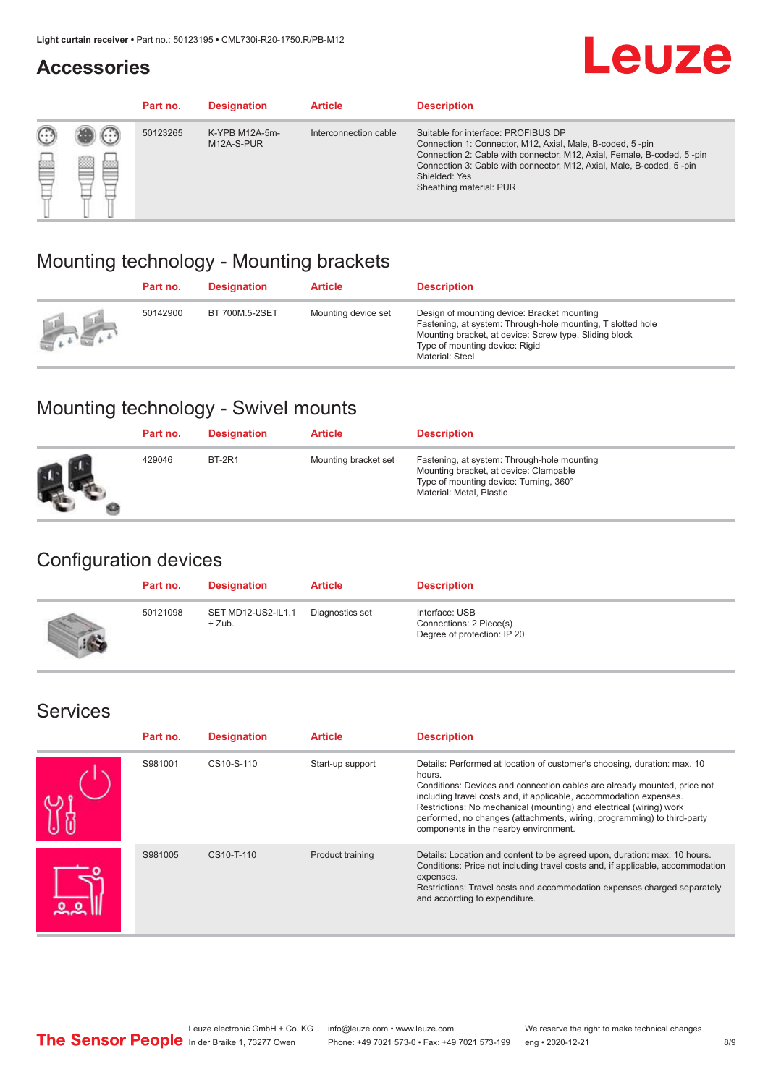### **Accessories**

# **Leuze**

|   |            | Part no. | <b>Designation</b>           | <b>Article</b>        | <b>Description</b>                                                                                                                                                                                                                                                                             |
|---|------------|----------|------------------------------|-----------------------|------------------------------------------------------------------------------------------------------------------------------------------------------------------------------------------------------------------------------------------------------------------------------------------------|
| œ | 83<br>toni | 50123265 | K-YPB M12A-5m-<br>M12A-S-PUR | Interconnection cable | Suitable for interface: PROFIBUS DP<br>Connection 1: Connector, M12, Axial, Male, B-coded, 5-pin<br>Connection 2: Cable with connector, M12, Axial, Female, B-coded, 5-pin<br>Connection 3: Cable with connector, M12, Axial, Male, B-coded, 5-pin<br>Shielded: Yes<br>Sheathing material: PUR |

### Mounting technology - Mounting brackets

|               | Part no. | <b>Designation</b> | <b>Article</b>      | <b>Description</b>                                                                                                                                                                                                        |
|---------------|----------|--------------------|---------------------|---------------------------------------------------------------------------------------------------------------------------------------------------------------------------------------------------------------------------|
| $\frac{1}{2}$ | 50142900 | BT 700M.5-2SET     | Mounting device set | Design of mounting device: Bracket mounting<br>Fastening, at system: Through-hole mounting, T slotted hole<br>Mounting bracket, at device: Screw type, Sliding block<br>Type of mounting device: Rigid<br>Material: Steel |

## Mounting technology - Swivel mounts

| Part no. | <b>Designation</b> | <b>Article</b>       | <b>Description</b>                                                                                                                                          |
|----------|--------------------|----------------------|-------------------------------------------------------------------------------------------------------------------------------------------------------------|
| 429046   | <b>BT-2R1</b>      | Mounting bracket set | Fastening, at system: Through-hole mounting<br>Mounting bracket, at device: Clampable<br>Type of mounting device: Turning, 360°<br>Material: Metal, Plastic |

### Configuration devices

| Part no. | <b>Designation</b>             | <b>Article</b>  | <b>Description</b>                                                       |
|----------|--------------------------------|-----------------|--------------------------------------------------------------------------|
| 50121098 | SET MD12-US2-IL1.1<br>$+$ Zub. | Diagnostics set | Interface: USB<br>Connections: 2 Piece(s)<br>Degree of protection: IP 20 |

### Services

| Part no. | <b>Designation</b> | <b>Article</b>   | <b>Description</b>                                                                                                                                                                                                                                                                                                                                                                                                              |
|----------|--------------------|------------------|---------------------------------------------------------------------------------------------------------------------------------------------------------------------------------------------------------------------------------------------------------------------------------------------------------------------------------------------------------------------------------------------------------------------------------|
| S981001  | CS10-S-110         | Start-up support | Details: Performed at location of customer's choosing, duration: max. 10<br>hours.<br>Conditions: Devices and connection cables are already mounted, price not<br>including travel costs and, if applicable, accommodation expenses.<br>Restrictions: No mechanical (mounting) and electrical (wiring) work<br>performed, no changes (attachments, wiring, programming) to third-party<br>components in the nearby environment. |
| S981005  | CS10-T-110         | Product training | Details: Location and content to be agreed upon, duration: max. 10 hours.<br>Conditions: Price not including travel costs and, if applicable, accommodation<br>expenses.<br>Restrictions: Travel costs and accommodation expenses charged separately<br>and according to expenditure.                                                                                                                                           |